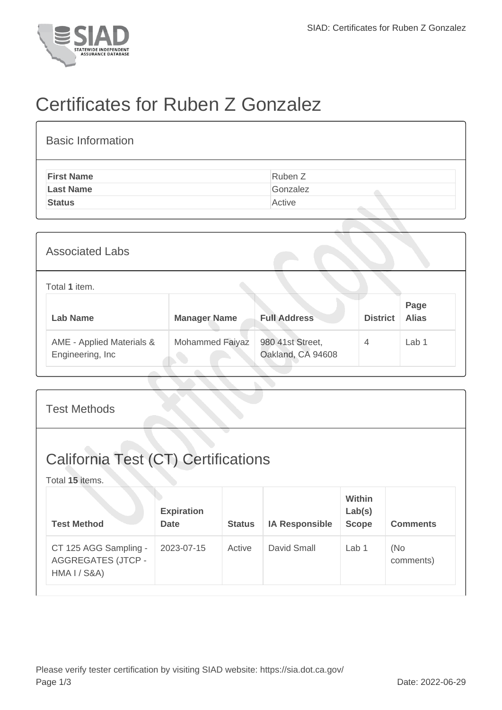

## Certificates for Ruben Z Gonzalez

| <b>Basic Information</b> |          |
|--------------------------|----------|
| <b>First Name</b>        | Ruben Z  |
| <b>Last Name</b>         | Gonzalez |
| <b>Status</b>            | Active   |

| <b>Associated Labs</b>                        |                     |                                       |                 |                      |
|-----------------------------------------------|---------------------|---------------------------------------|-----------------|----------------------|
| Total 1 item.                                 |                     |                                       |                 |                      |
| <b>Lab Name</b>                               | <b>Manager Name</b> | <b>Full Address</b>                   | <b>District</b> | Page<br><b>Alias</b> |
| AME - Applied Materials &<br>Engineering, Inc | Mohammed Faiyaz     | 980 41st Street,<br>Oakland, CA 94608 | $\overline{4}$  | Lab <sub>1</sub>     |

| <b>Test Methods</b>                                                           |                                  |               |                       |                                         |                  |  |  |
|-------------------------------------------------------------------------------|----------------------------------|---------------|-----------------------|-----------------------------------------|------------------|--|--|
| <b>California Test (CT) Certifications</b><br>Total 15 items.                 |                                  |               |                       |                                         |                  |  |  |
| <b>Test Method</b>                                                            | <b>Expiration</b><br><b>Date</b> | <b>Status</b> | <b>IA Responsible</b> | <b>Within</b><br>Lab(s)<br><b>Scope</b> | <b>Comments</b>  |  |  |
| CT 125 AGG Sampling -<br><b>AGGREGATES (JTCP -</b><br><b>HMA I / S&amp;A)</b> | 2023-07-15                       | Active        | David Small           | Lab <sub>1</sub>                        | (No<br>comments) |  |  |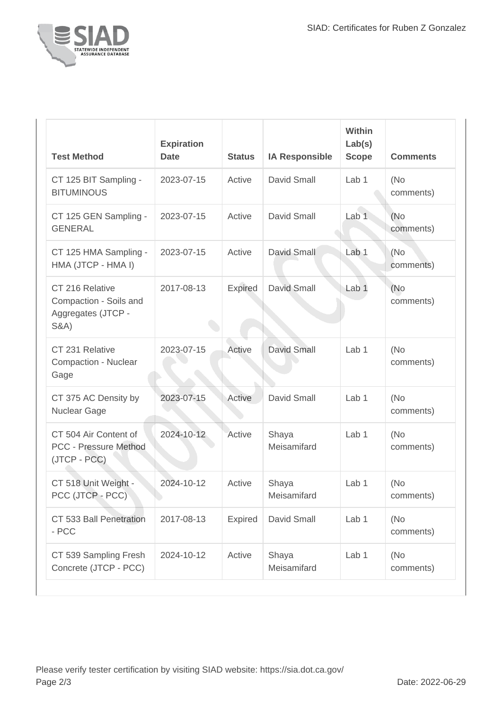

| <b>Test Method</b>                                                                 | <b>Expiration</b><br><b>Date</b> | <b>Status</b> | <b>IA Responsible</b> | Within<br>Lab(s)<br><b>Scope</b> | <b>Comments</b>   |
|------------------------------------------------------------------------------------|----------------------------------|---------------|-----------------------|----------------------------------|-------------------|
| CT 125 BIT Sampling -<br><b>BITUMINOUS</b>                                         | 2023-07-15                       | Active        | <b>David Small</b>    | Lab <sub>1</sub>                 | (No<br>comments)  |
| CT 125 GEN Sampling -<br><b>GENERAL</b>                                            | 2023-07-15                       | Active        | David Small           | Lab <sub>1</sub>                 | (No)<br>comments) |
| CT 125 HMA Sampling -<br>HMA (JTCP - HMA I)                                        | 2023-07-15                       | Active        | David Small           | Lab <sub>1</sub>                 | (No<br>comments)  |
| CT 216 Relative<br>Compaction - Soils and<br>Aggregates (JTCP -<br><b>S&amp;A)</b> | 2017-08-13                       | Expired       | David Small           | Lab <sub>1</sub>                 | (No)<br>comments) |
| CT 231 Relative<br>Compaction - Nuclear<br>Gage                                    | 2023-07-15                       | Active        | <b>David Small</b>    | Lab <sub>1</sub>                 | (No<br>comments)  |
| CT 375 AC Density by<br>Nuclear Gage                                               | 2023-07-15                       | Active        | David Small           | Lab <sub>1</sub>                 | (No)<br>comments) |
| CT 504 Air Content of<br>PCC - Pressure Method<br>(JTCP - PCC)                     | 2024-10-12                       | Active        | Shaya<br>Meisamifard  | Lab <sub>1</sub>                 | (No<br>comments)  |
| CT 518 Unit Weight -<br>PCC (JTCP - PCC)                                           | 2024-10-12                       | Active        | Shaya<br>Meisamifard  | Lab <sub>1</sub>                 | (No<br>comments)  |
| CT 533 Ball Penetration<br>- PCC                                                   | 2017-08-13                       | Expired       | David Small           | Lab 1                            | (No<br>comments)  |
| CT 539 Sampling Fresh<br>Concrete (JTCP - PCC)                                     | 2024-10-12                       | Active        | Shaya<br>Meisamifard  | Lab 1                            | (No<br>comments)  |